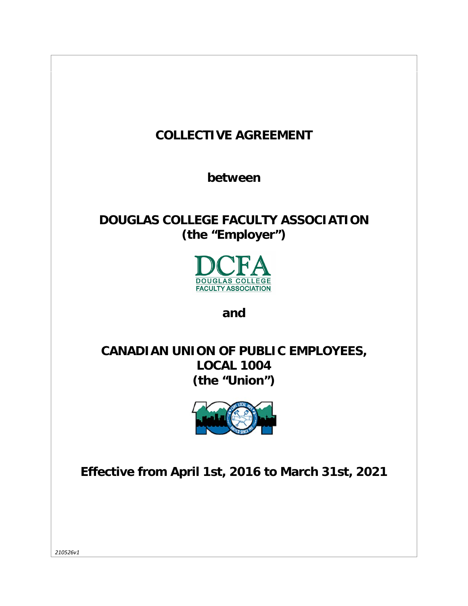

*210526v1*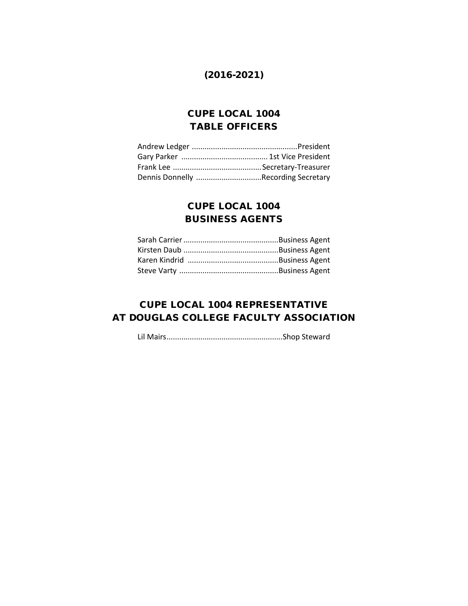# (2016-2021)

# CUPE LOCAL 1004 TABLE OFFICERS

| Dennis Donnelly Recording Secretary |  |
|-------------------------------------|--|

# CUPE LOCAL 1004 BUSINESS AGENTS

# CUPE LOCAL 1004 REPRESENTATIVE AT DOUGLAS COLLEGE FACULTY ASSOCIATION

Lil Mairs.......................................................Shop Steward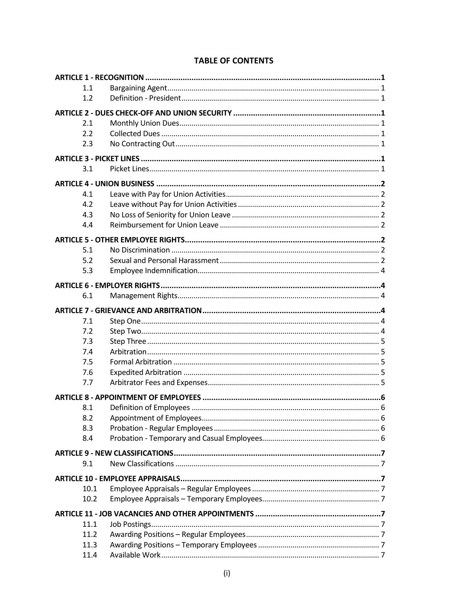| 1.1  |  |
|------|--|
| 1.2  |  |
|      |  |
| 2.1  |  |
| 2.2  |  |
| 2.3  |  |
|      |  |
|      |  |
| 3.1  |  |
|      |  |
| 4.1  |  |
| 4.2  |  |
| 4.3  |  |
| 4.4  |  |
|      |  |
| 5.1  |  |
| 5.2  |  |
| 5.3  |  |
|      |  |
|      |  |
| 6.1  |  |
|      |  |
| 7.1  |  |
| 7.2  |  |
| 7.3  |  |
| 7.4  |  |
| 7.5  |  |
| 7.6  |  |
| 7.7  |  |
|      |  |
| 8.1  |  |
| 8.2  |  |
| 8.3  |  |
| 8.4  |  |
|      |  |
|      |  |
| 9.1  |  |
|      |  |
| 10.1 |  |
| 10.2 |  |
|      |  |
| 11.1 |  |
| 11.2 |  |
| 11.3 |  |
| 11.4 |  |

# **TABLE OF CONTENTS**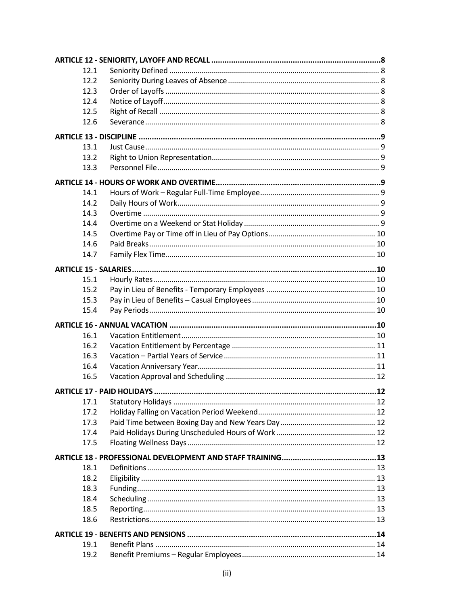| 12.1         |  |
|--------------|--|
| 12.2         |  |
| 12.3         |  |
| 12.4         |  |
| 12.5         |  |
| 12.6         |  |
|              |  |
|              |  |
| 13.1         |  |
| 13.2         |  |
| 13.3         |  |
|              |  |
| 14.1         |  |
| 14.2         |  |
| 14.3         |  |
| 14.4         |  |
| 14.5         |  |
| 14.6         |  |
| 14.7         |  |
|              |  |
| 15.1         |  |
| 15.2         |  |
| 15.3         |  |
| 15.4         |  |
|              |  |
|              |  |
| 16.1         |  |
| 16.2         |  |
| 16.3         |  |
| 16.4         |  |
| 16.5         |  |
|              |  |
| 17.1         |  |
| 17.2         |  |
| 17.3         |  |
| 17.4         |  |
| 17.5         |  |
|              |  |
| 18.1         |  |
| 18.2         |  |
|              |  |
| 18.3<br>18.4 |  |
|              |  |
| 18.5         |  |
| 18.6         |  |
|              |  |
| 19.1         |  |
| 19.2         |  |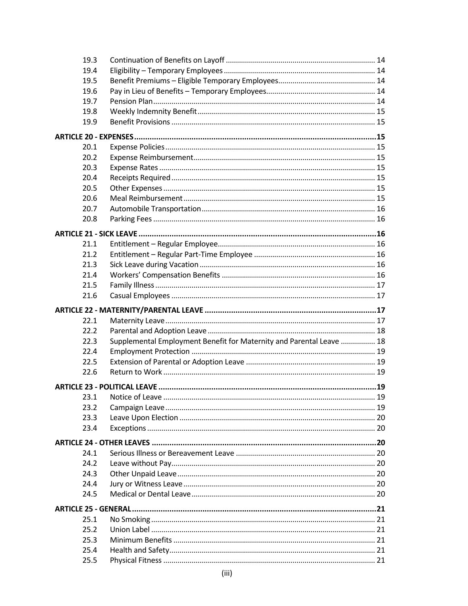| 19.3         |                                                                      |  |
|--------------|----------------------------------------------------------------------|--|
| 19.4         |                                                                      |  |
| 19.5         |                                                                      |  |
| 19.6         |                                                                      |  |
| 19.7         |                                                                      |  |
| 19.8         |                                                                      |  |
| 19.9         |                                                                      |  |
|              |                                                                      |  |
|              |                                                                      |  |
| 20.1         |                                                                      |  |
| 20.2         |                                                                      |  |
| 20.3         |                                                                      |  |
| 20.4         |                                                                      |  |
| 20.5         |                                                                      |  |
| 20.6         |                                                                      |  |
| 20.7         |                                                                      |  |
| 20.8         |                                                                      |  |
|              |                                                                      |  |
| 21.1         |                                                                      |  |
| 21.2         |                                                                      |  |
| 21.3         |                                                                      |  |
| 21.4         |                                                                      |  |
| 21.5         |                                                                      |  |
| 21.6         |                                                                      |  |
|              |                                                                      |  |
|              |                                                                      |  |
|              |                                                                      |  |
| 22.1         |                                                                      |  |
| 22.2         |                                                                      |  |
| 22.3         | Supplemental Employment Benefit for Maternity and Parental Leave  18 |  |
| 22.4         |                                                                      |  |
| 22.5         |                                                                      |  |
| 22.6         |                                                                      |  |
|              |                                                                      |  |
| 23.1         |                                                                      |  |
| 23.2         |                                                                      |  |
| 23.3         |                                                                      |  |
| 23.4         |                                                                      |  |
|              |                                                                      |  |
|              |                                                                      |  |
| 24.1         |                                                                      |  |
| 24.2         |                                                                      |  |
| 24.3         |                                                                      |  |
| 24.4         |                                                                      |  |
| 24.5         |                                                                      |  |
|              |                                                                      |  |
| 25.1         |                                                                      |  |
| 25.2         |                                                                      |  |
| 25.3         |                                                                      |  |
| 25.4<br>25.5 |                                                                      |  |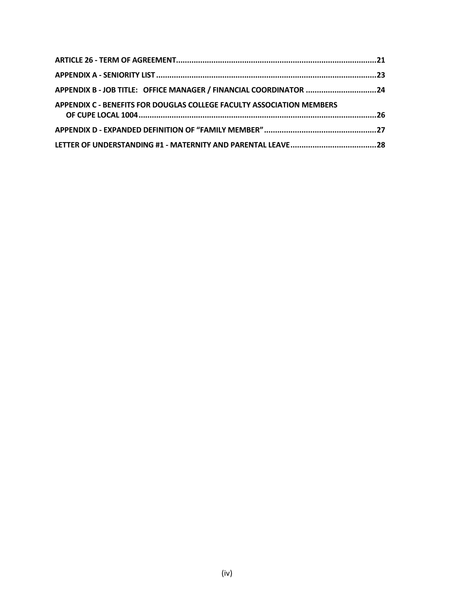| APPENDIX B - JOB TITLE: OFFICE MANAGER / FINANCIAL COORDINATOR 24     |  |
|-----------------------------------------------------------------------|--|
| APPENDIX C - BENEFITS FOR DOUGLAS COLLEGE FACULTY ASSOCIATION MEMBERS |  |
|                                                                       |  |
|                                                                       |  |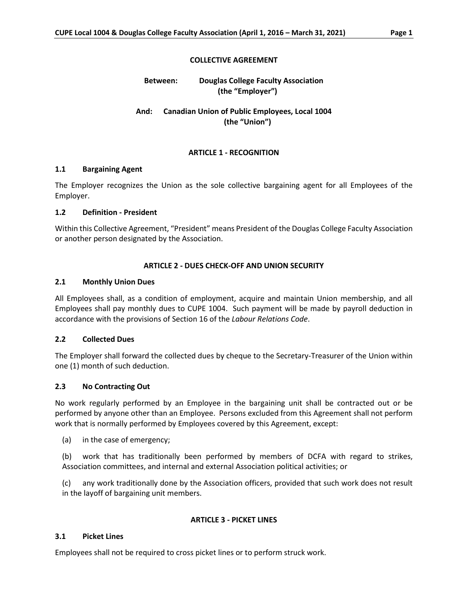## **COLLECTIVE AGREEMENT**

# **Between: Douglas College Faculty Association (the "Employer")**

# **And: Canadian Union of Public Employees, Local 1004 (the "Union")**

## **ARTICLE 1 - RECOGNITION**

## **1.1 Bargaining Agent**

The Employer recognizes the Union as the sole collective bargaining agent for all Employees of the Employer.

#### **1.2 Definition - President**

Within this Collective Agreement, "President" means President of the Douglas College Faculty Association or another person designated by the Association.

## **ARTICLE 2 - DUES CHECK-OFF AND UNION SECURITY**

## **2.1 Monthly Union Dues**

All Employees shall, as a condition of employment, acquire and maintain Union membership, and all Employees shall pay monthly dues to CUPE 1004. Such payment will be made by payroll deduction in accordance with the provisions of Section 16 of the *Labour Relations Code*.

## **2.2 Collected Dues**

The Employer shall forward the collected dues by cheque to the Secretary-Treasurer of the Union within one (1) month of such deduction.

## **2.3 No Contracting Out**

No work regularly performed by an Employee in the bargaining unit shall be contracted out or be performed by anyone other than an Employee. Persons excluded from this Agreement shall not perform work that is normally performed by Employees covered by this Agreement, except:

(a) in the case of emergency;

(b) work that has traditionally been performed by members of DCFA with regard to strikes, Association committees, and internal and external Association political activities; or

(c) any work traditionally done by the Association officers, provided that such work does not result in the layoff of bargaining unit members.

## **ARTICLE 3 - PICKET LINES**

## **3.1 Picket Lines**

Employees shall not be required to cross picket lines or to perform struck work.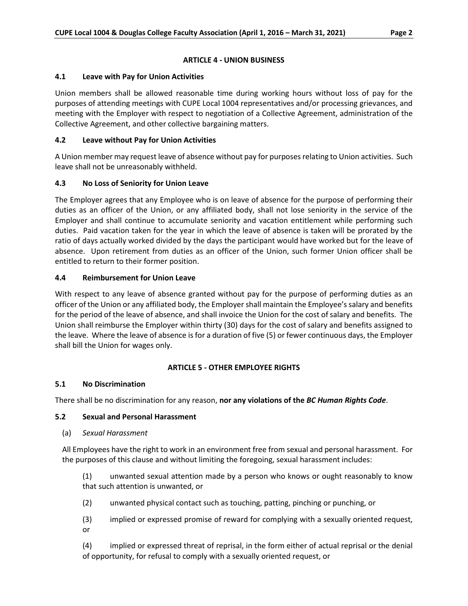## **ARTICLE 4 - UNION BUSINESS**

## **4.1 Leave with Pay for Union Activities**

Union members shall be allowed reasonable time during working hours without loss of pay for the purposes of attending meetings with CUPE Local 1004 representatives and/or processing grievances, and meeting with the Employer with respect to negotiation of a Collective Agreement, administration of the Collective Agreement, and other collective bargaining matters.

## **4.2 Leave without Pay for Union Activities**

A Union member may request leave of absence without pay for purposes relating to Union activities. Such leave shall not be unreasonably withheld.

# **4.3 No Loss of Seniority for Union Leave**

The Employer agrees that any Employee who is on leave of absence for the purpose of performing their duties as an officer of the Union, or any affiliated body, shall not lose seniority in the service of the Employer and shall continue to accumulate seniority and vacation entitlement while performing such duties. Paid vacation taken for the year in which the leave of absence is taken will be prorated by the ratio of days actually worked divided by the days the participant would have worked but for the leave of absence. Upon retirement from duties as an officer of the Union, such former Union officer shall be entitled to return to their former position.

## **4.4 Reimbursement for Union Leave**

With respect to any leave of absence granted without pay for the purpose of performing duties as an officer of the Union or any affiliated body, the Employer shall maintain the Employee's salary and benefits for the period of the leave of absence, and shall invoice the Union for the cost of salary and benefits. The Union shall reimburse the Employer within thirty (30) days for the cost of salary and benefits assigned to the leave. Where the leave of absence is for a duration of five (5) or fewer continuous days, the Employer shall bill the Union for wages only.

# **ARTICLE 5 - OTHER EMPLOYEE RIGHTS**

## **5.1 No Discrimination**

There shall be no discrimination for any reason, **nor any violations of the** *BC Human Rights Code*.

# **5.2 Sexual and Personal Harassment**

(a) *Sexual Harassment*

All Employees have the right to work in an environment free from sexual and personal harassment. For the purposes of this clause and without limiting the foregoing, sexual harassment includes:

(1) unwanted sexual attention made by a person who knows or ought reasonably to know that such attention is unwanted, or

- (2) unwanted physical contact such as touching, patting, pinching or punching, or
- (3) implied or expressed promise of reward for complying with a sexually oriented request, or

(4) implied or expressed threat of reprisal, in the form either of actual reprisal or the denial of opportunity, for refusal to comply with a sexually oriented request, or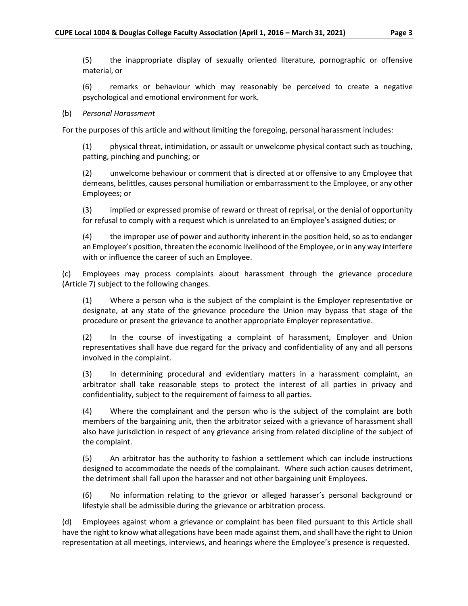(5) the inappropriate display of sexually oriented literature, pornographic or offensive material, or

(6) remarks or behaviour which may reasonably be perceived to create a negative psychological and emotional environment for work.

#### (b) *Personal Harassment*

For the purposes of this article and without limiting the foregoing, personal harassment includes:

(1) physical threat, intimidation, or assault or unwelcome physical contact such as touching, patting, pinching and punching; or

(2) unwelcome behaviour or comment that is directed at or offensive to any Employee that demeans, belittles, causes personal humiliation or embarrassment to the Employee, or any other Employees; or

(3) implied or expressed promise of reward or threat of reprisal, or the denial of opportunity for refusal to comply with a request which is unrelated to an Employee's assigned duties; or

(4) the improper use of power and authority inherent in the position held, so as to endanger an Employee's position, threaten the economic livelihood of the Employee, or in any way interfere with or influence the career of such an Employee.

(c) Employees may process complaints about harassment through the grievance procedure (Article 7) subject to the following changes.

(1) Where a person who is the subject of the complaint is the Employer representative or designate, at any state of the grievance procedure the Union may bypass that stage of the procedure or present the grievance to another appropriate Employer representative.

(2) In the course of investigating a complaint of harassment, Employer and Union representatives shall have due regard for the privacy and confidentiality of any and all persons involved in the complaint.

(3) In determining procedural and evidentiary matters in a harassment complaint, an arbitrator shall take reasonable steps to protect the interest of all parties in privacy and confidentiality, subject to the requirement of fairness to all parties.

(4) Where the complainant and the person who is the subject of the complaint are both members of the bargaining unit, then the arbitrator seized with a grievance of harassment shall also have jurisdiction in respect of any grievance arising from related discipline of the subject of the complaint.

(5) An arbitrator has the authority to fashion a settlement which can include instructions designed to accommodate the needs of the complainant. Where such action causes detriment, the detriment shall fall upon the harasser and not other bargaining unit Employees.

(6) No information relating to the grievor or alleged harasser's personal background or lifestyle shall be admissible during the grievance or arbitration process.

(d) Employees against whom a grievance or complaint has been filed pursuant to this Article shall have the right to know what allegations have been made against them, and shall have the right to Union representation at all meetings, interviews, and hearings where the Employee's presence is requested.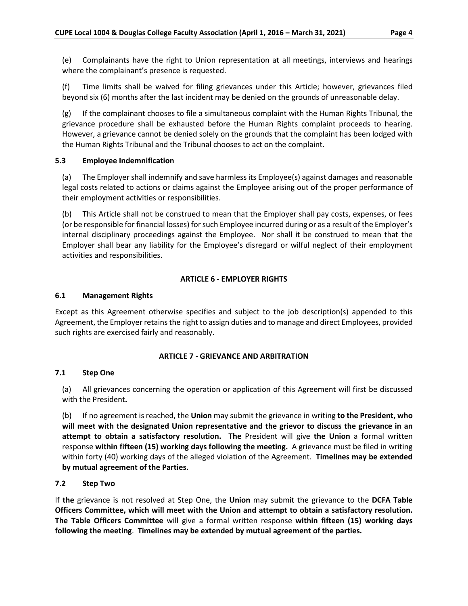(e) Complainants have the right to Union representation at all meetings, interviews and hearings where the complainant's presence is requested.

(f) Time limits shall be waived for filing grievances under this Article; however, grievances filed beyond six (6) months after the last incident may be denied on the grounds of unreasonable delay.

(g) If the complainant chooses to file a simultaneous complaint with the Human Rights Tribunal, the grievance procedure shall be exhausted before the Human Rights complaint proceeds to hearing. However, a grievance cannot be denied solely on the grounds that the complaint has been lodged with the Human Rights Tribunal and the Tribunal chooses to act on the complaint.

# **5.3 Employee Indemnification**

(a) The Employer shall indemnify and save harmless its Employee(s) against damages and reasonable legal costs related to actions or claims against the Employee arising out of the proper performance of their employment activities or responsibilities.

(b) This Article shall not be construed to mean that the Employer shall pay costs, expenses, or fees (or be responsible for financial losses) for such Employee incurred during or as a result of the Employer's internal disciplinary proceedings against the Employee. Nor shall it be construed to mean that the Employer shall bear any liability for the Employee's disregard or wilful neglect of their employment activities and responsibilities.

## **ARTICLE 6 - EMPLOYER RIGHTS**

## **6.1 Management Rights**

Except as this Agreement otherwise specifies and subject to the job description(s) appended to this Agreement, the Employer retains the right to assign duties and to manage and direct Employees, provided such rights are exercised fairly and reasonably.

## **ARTICLE 7 - GRIEVANCE AND ARBITRATION**

## **7.1 Step One**

(a) All grievances concerning the operation or application of this Agreement will first be discussed with the President**.** 

(b) If no agreement is reached, the **Union** may submit the grievance in writing **to the President, who will meet with the designated Union representative and the grievor to discuss the grievance in an attempt to obtain a satisfactory resolution. The** President will give **the Union** a formal written response **within fifteen (15) working days following the meeting.** A grievance must be filed in writing within forty (40) working days of the alleged violation of the Agreement. **Timelines may be extended by mutual agreement of the Parties.**

## **7.2 Step Two**

If **the** grievance is not resolved at Step One, the **Union** may submit the grievance to the **DCFA Table Officers Committee, which will meet with the Union and attempt to obtain a satisfactory resolution. The Table Officers Committee** will give a formal written response **within fifteen (15) working days following the meeting**. **Timelines may be extended by mutual agreement of the parties.**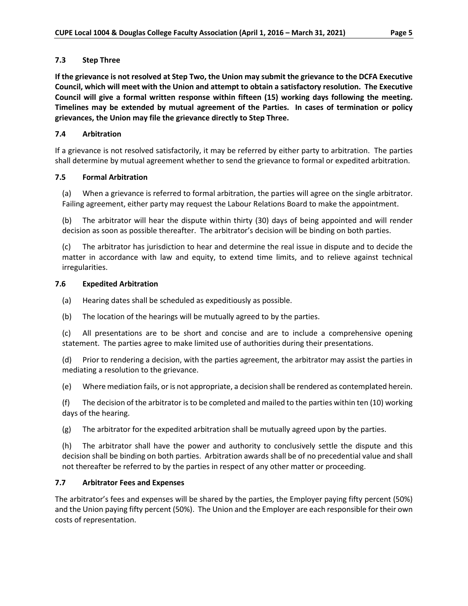## **7.3 Step Three**

**If the grievance is not resolved at Step Two, the Union may submit the grievance to the DCFA Executive Council, which will meet with the Union and attempt to obtain a satisfactory resolution. The Executive Council will give a formal written response within fifteen (15) working days following the meeting. Timelines may be extended by mutual agreement of the Parties. In cases of termination or policy grievances, the Union may file the grievance directly to Step Three.**

# **7.4 Arbitration**

If a grievance is not resolved satisfactorily, it may be referred by either party to arbitration. The parties shall determine by mutual agreement whether to send the grievance to formal or expedited arbitration.

## **7.5 Formal Arbitration**

(a) When a grievance is referred to formal arbitration, the parties will agree on the single arbitrator. Failing agreement, either party may request the Labour Relations Board to make the appointment.

(b) The arbitrator will hear the dispute within thirty (30) days of being appointed and will render decision as soon as possible thereafter. The arbitrator's decision will be binding on both parties.

(c) The arbitrator has jurisdiction to hear and determine the real issue in dispute and to decide the matter in accordance with law and equity, to extend time limits, and to relieve against technical irregularities.

## **7.6 Expedited Arbitration**

- (a) Hearing dates shall be scheduled as expeditiously as possible.
- (b) The location of the hearings will be mutually agreed to by the parties.

(c) All presentations are to be short and concise and are to include a comprehensive opening statement. The parties agree to make limited use of authorities during their presentations.

(d) Prior to rendering a decision, with the parties agreement, the arbitrator may assist the parties in mediating a resolution to the grievance.

(e) Where mediation fails, or is not appropriate, a decision shall be rendered as contemplated herein.

(f) The decision of the arbitrator is to be completed and mailed to the parties within ten (10) working days of the hearing.

(g) The arbitrator for the expedited arbitration shall be mutually agreed upon by the parties.

(h) The arbitrator shall have the power and authority to conclusively settle the dispute and this decision shall be binding on both parties. Arbitration awards shall be of no precedential value and shall not thereafter be referred to by the parties in respect of any other matter or proceeding.

## **7.7 Arbitrator Fees and Expenses**

The arbitrator's fees and expenses will be shared by the parties, the Employer paying fifty percent (50%) and the Union paying fifty percent (50%). The Union and the Employer are each responsible for their own costs of representation.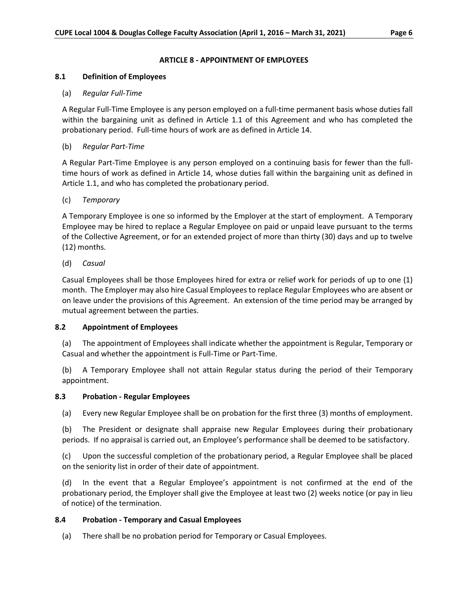#### **ARTICLE 8 - APPOINTMENT OF EMPLOYEES**

#### **8.1 Definition of Employees**

#### (a) *Regular Full-Time*

A Regular Full-Time Employee is any person employed on a full-time permanent basis whose duties fall within the bargaining unit as defined in Article 1.1 of this Agreement and who has completed the probationary period. Full-time hours of work are as defined in Article 14.

#### (b) *Regular Part-Time*

A Regular Part-Time Employee is any person employed on a continuing basis for fewer than the fulltime hours of work as defined in Article 14, whose duties fall within the bargaining unit as defined in Article 1.1, and who has completed the probationary period.

#### (c) *Temporary*

A Temporary Employee is one so informed by the Employer at the start of employment. A Temporary Employee may be hired to replace a Regular Employee on paid or unpaid leave pursuant to the terms of the Collective Agreement, or for an extended project of more than thirty (30) days and up to twelve (12) months.

(d) *Casual*

Casual Employees shall be those Employees hired for extra or relief work for periods of up to one (1) month. The Employer may also hire Casual Employees to replace Regular Employees who are absent or on leave under the provisions of this Agreement. An extension of the time period may be arranged by mutual agreement between the parties.

#### **8.2 Appointment of Employees**

(a) The appointment of Employees shall indicate whether the appointment is Regular, Temporary or Casual and whether the appointment is Full-Time or Part-Time.

(b) A Temporary Employee shall not attain Regular status during the period of their Temporary appointment.

#### **8.3 Probation - Regular Employees**

(a) Every new Regular Employee shall be on probation for the first three (3) months of employment.

(b) The President or designate shall appraise new Regular Employees during their probationary periods. If no appraisal is carried out, an Employee's performance shall be deemed to be satisfactory.

(c) Upon the successful completion of the probationary period, a Regular Employee shall be placed on the seniority list in order of their date of appointment.

(d) In the event that a Regular Employee's appointment is not confirmed at the end of the probationary period, the Employer shall give the Employee at least two (2) weeks notice (or pay in lieu of notice) of the termination.

## **8.4 Probation - Temporary and Casual Employees**

(a) There shall be no probation period for Temporary or Casual Employees.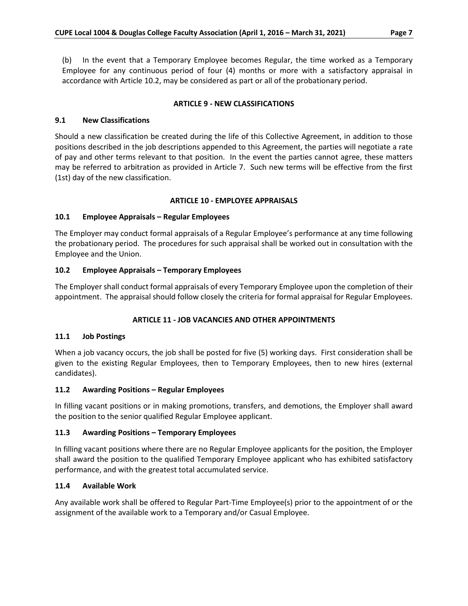(b) In the event that a Temporary Employee becomes Regular, the time worked as a Temporary Employee for any continuous period of four (4) months or more with a satisfactory appraisal in accordance with Article 10.2, may be considered as part or all of the probationary period.

## **ARTICLE 9 - NEW CLASSIFICATIONS**

## **9.1 New Classifications**

Should a new classification be created during the life of this Collective Agreement, in addition to those positions described in the job descriptions appended to this Agreement, the parties will negotiate a rate of pay and other terms relevant to that position. In the event the parties cannot agree, these matters may be referred to arbitration as provided in Article 7. Such new terms will be effective from the first (1st) day of the new classification.

## **ARTICLE 10 - EMPLOYEE APPRAISALS**

## **10.1 Employee Appraisals – Regular Employees**

The Employer may conduct formal appraisals of a Regular Employee's performance at any time following the probationary period. The procedures for such appraisal shall be worked out in consultation with the Employee and the Union.

## **10.2 Employee Appraisals – Temporary Employees**

The Employer shall conduct formal appraisals of every Temporary Employee upon the completion of their appointment. The appraisal should follow closely the criteria for formal appraisal for Regular Employees.

## **ARTICLE 11 - JOB VACANCIES AND OTHER APPOINTMENTS**

## **11.1 Job Postings**

When a job vacancy occurs, the job shall be posted for five (5) working days. First consideration shall be given to the existing Regular Employees, then to Temporary Employees, then to new hires (external candidates).

## **11.2 Awarding Positions – Regular Employees**

In filling vacant positions or in making promotions, transfers, and demotions, the Employer shall award the position to the senior qualified Regular Employee applicant.

## **11.3 Awarding Positions – Temporary Employees**

In filling vacant positions where there are no Regular Employee applicants for the position, the Employer shall award the position to the qualified Temporary Employee applicant who has exhibited satisfactory performance, and with the greatest total accumulated service.

## **11.4 Available Work**

Any available work shall be offered to Regular Part-Time Employee(s) prior to the appointment of or the assignment of the available work to a Temporary and/or Casual Employee.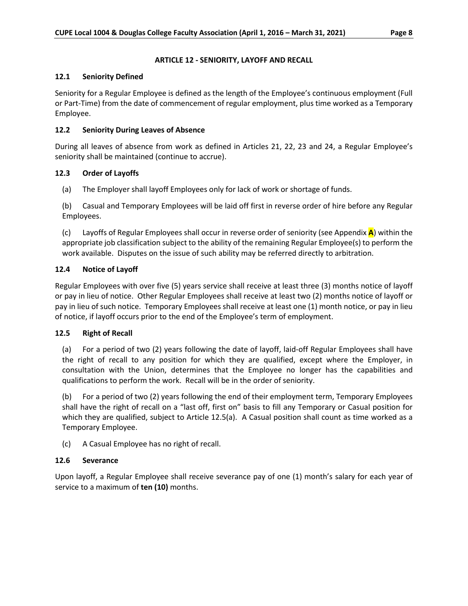## **ARTICLE 12 - SENIORITY, LAYOFF AND RECALL**

## **12.1 Seniority Defined**

Seniority for a Regular Employee is defined as the length of the Employee's continuous employment (Full or Part-Time) from the date of commencement of regular employment, plus time worked as a Temporary Employee.

# **12.2 Seniority During Leaves of Absence**

During all leaves of absence from work as defined in Articles 21, 22, 23 and 24, a Regular Employee's seniority shall be maintained (continue to accrue).

## **12.3 Order of Layoffs**

(a) The Employer shall layoff Employees only for lack of work or shortage of funds.

(b) Casual and Temporary Employees will be laid off first in reverse order of hire before any Regular Employees.

(c) Layoffs of Regular Employees shall occur in reverse order of seniority (see Appendix **A**) within the appropriate job classification subject to the ability of the remaining Regular Employee(s) to perform the work available. Disputes on the issue of such ability may be referred directly to arbitration.

## **12.4 Notice of Layoff**

Regular Employees with over five (5) years service shall receive at least three (3) months notice of layoff or pay in lieu of notice. Other Regular Employees shall receive at least two (2) months notice of layoff or pay in lieu of such notice. Temporary Employees shall receive at least one (1) month notice, or pay in lieu of notice, if layoff occurs prior to the end of the Employee's term of employment.

## **12.5 Right of Recall**

(a) For a period of two (2) years following the date of layoff, laid-off Regular Employees shall have the right of recall to any position for which they are qualified, except where the Employer, in consultation with the Union, determines that the Employee no longer has the capabilities and qualifications to perform the work. Recall will be in the order of seniority.

(b) For a period of two (2) years following the end of their employment term, Temporary Employees shall have the right of recall on a "last off, first on" basis to fill any Temporary or Casual position for which they are qualified, subject to Article 12.5(a). A Casual position shall count as time worked as a Temporary Employee.

(c) A Casual Employee has no right of recall.

# **12.6 Severance**

Upon layoff, a Regular Employee shall receive severance pay of one (1) month's salary for each year of service to a maximum of **ten (10)** months.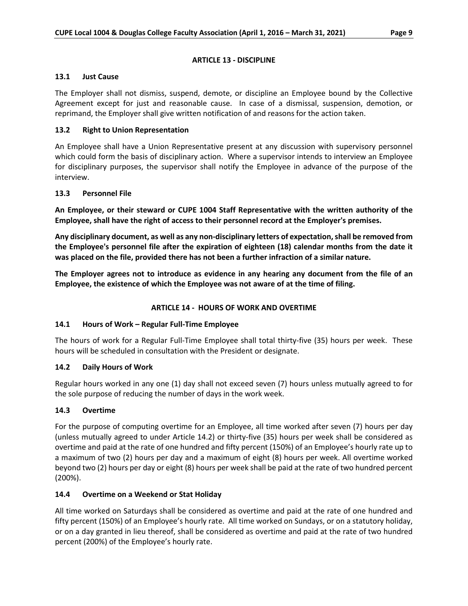## **ARTICLE 13 - DISCIPLINE**

## **13.1 Just Cause**

The Employer shall not dismiss, suspend, demote, or discipline an Employee bound by the Collective Agreement except for just and reasonable cause. In case of a dismissal, suspension, demotion, or reprimand, the Employer shall give written notification of and reasons for the action taken.

# **13.2 Right to Union Representation**

An Employee shall have a Union Representative present at any discussion with supervisory personnel which could form the basis of disciplinary action. Where a supervisor intends to interview an Employee for disciplinary purposes, the supervisor shall notify the Employee in advance of the purpose of the interview.

## **13.3 Personnel File**

**An Employee, or their steward or CUPE 1004 Staff Representative with the written authority of the Employee, shall have the right of access to their personnel record at the Employer's premises.**

**Any disciplinary document, as well as any non-disciplinary letters of expectation, shall be removed from the Employee's personnel file after the expiration of eighteen (18) calendar months from the date it was placed on the file, provided there has not been a further infraction of a similar nature.** 

**The Employer agrees not to introduce as evidence in any hearing any document from the file of an Employee, the existence of which the Employee was not aware of at the time of filing.**

# **ARTICLE 14 - HOURS OF WORK AND OVERTIME**

# **14.1 Hours of Work – Regular Full-Time Employee**

The hours of work for a Regular Full-Time Employee shall total thirty-five (35) hours per week. These hours will be scheduled in consultation with the President or designate.

# **14.2 Daily Hours of Work**

Regular hours worked in any one (1) day shall not exceed seven (7) hours unless mutually agreed to for the sole purpose of reducing the number of days in the work week.

## **14.3 Overtime**

For the purpose of computing overtime for an Employee, all time worked after seven (7) hours per day (unless mutually agreed to under Article 14.2) or thirty-five (35) hours per week shall be considered as overtime and paid at the rate of one hundred and fifty percent (150%) of an Employee's hourly rate up to a maximum of two (2) hours per day and a maximum of eight (8) hours per week. All overtime worked beyond two (2) hours per day or eight (8) hours per week shall be paid at the rate of two hundred percent (200%).

## **14.4 Overtime on a Weekend or Stat Holiday**

All time worked on Saturdays shall be considered as overtime and paid at the rate of one hundred and fifty percent (150%) of an Employee's hourly rate. All time worked on Sundays, or on a statutory holiday, or on a day granted in lieu thereof, shall be considered as overtime and paid at the rate of two hundred percent (200%) of the Employee's hourly rate.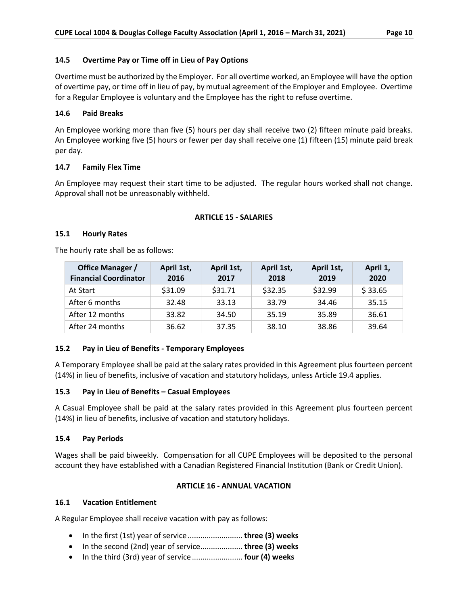## **14.5 Overtime Pay or Time off in Lieu of Pay Options**

Overtime must be authorized by the Employer. For all overtime worked, an Employee will have the option of overtime pay, or time off in lieu of pay, by mutual agreement of the Employer and Employee. Overtime for a Regular Employee is voluntary and the Employee has the right to refuse overtime.

## **14.6 Paid Breaks**

An Employee working more than five (5) hours per day shall receive two (2) fifteen minute paid breaks. An Employee working five (5) hours or fewer per day shall receive one (1) fifteen (15) minute paid break per day.

## **14.7 Family Flex Time**

An Employee may request their start time to be adjusted. The regular hours worked shall not change. Approval shall not be unreasonably withheld.

## **ARTICLE 15 - SALARIES**

## **15.1 Hourly Rates**

The hourly rate shall be as follows:

| Office Manager /<br><b>Financial Coordinator</b> | April 1st,<br>2016 | April 1st,<br>2017 | April 1st,<br>2018 | April 1st,<br>2019 | April 1,<br>2020 |
|--------------------------------------------------|--------------------|--------------------|--------------------|--------------------|------------------|
| At Start                                         | \$31.09            | \$31.71            | \$32.35            | \$32.99            | \$33.65          |
| After 6 months                                   | 32.48              | 33.13              | 33.79              | 34.46              | 35.15            |
| After 12 months                                  | 33.82              | 34.50              | 35.19              | 35.89              | 36.61            |
| After 24 months                                  | 36.62              | 37.35              | 38.10              | 38.86              | 39.64            |

# **15.2 Pay in Lieu of Benefits - Temporary Employees**

A Temporary Employee shall be paid at the salary rates provided in this Agreement plus fourteen percent (14%) in lieu of benefits, inclusive of vacation and statutory holidays, unless Article 19.4 applies.

## **15.3 Pay in Lieu of Benefits – Casual Employees**

A Casual Employee shall be paid at the salary rates provided in this Agreement plus fourteen percent (14%) in lieu of benefits, inclusive of vacation and statutory holidays.

## **15.4 Pay Periods**

Wages shall be paid biweekly. Compensation for all CUPE Employees will be deposited to the personal account they have established with a Canadian Registered Financial Institution (Bank or Credit Union).

## **ARTICLE 16 - ANNUAL VACATION**

## **16.1 Vacation Entitlement**

A Regular Employee shall receive vacation with pay as follows:

- In the first (1st) year of service.......................... **three (3) weeks**
- In the second (2nd) year of service.................... **three (3) weeks**
- In the third (3rd) year of service........................ **four (4) weeks**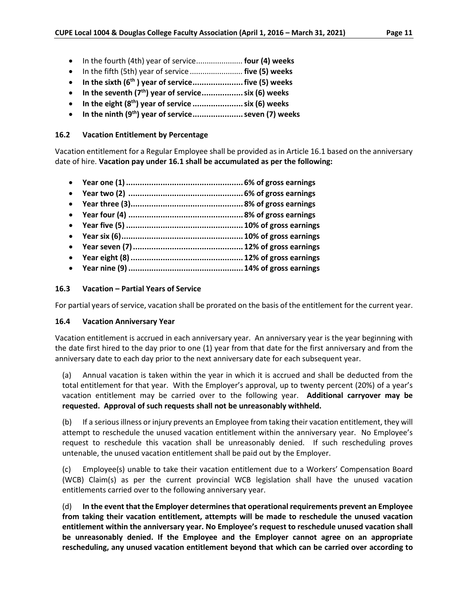- In the fourth (4th) year of service...................... **four (4) weeks**
- In the fifth (5th) year of service ......................... **five (5) weeks**
- **In the sixth (6th ) year of service......................five (5) weeks**
- **In the seventh (7th) year of service..................six (6) weeks**
- **In the eight (8th) year of service ......................six (6) weeks**
- **In the ninth (9th) year of service......................seven (7) weeks**

## **16.2 Vacation Entitlement by Percentage**

Vacation entitlement for a Regular Employee shall be provided as in Article 16.1 based on the anniversary date of hire. **Vacation pay under 16.1 shall be accumulated as per the following:**

- **Year one (1)................................................... 6% of gross earnings**
- **Year two (2) .................................................. 6% of gross earnings**
- **Year three (3)................................................. 8% of gross earnings**
- **Year four (4) .................................................. 8% of gross earnings**
- **Year five (5) ................................................... 10% of gross earnings**
- **Year six (6)..................................................... 10% of gross earnings**
- **Year seven (7)................................................ 12% of gross earnings**
- **Year eight (8)................................................. 12% of gross earnings**
- **Year nine (9) .................................................. 14% of gross earnings**

## **16.3 Vacation – Partial Years of Service**

For partial years of service, vacation shall be prorated on the basis of the entitlement for the current year.

## **16.4 Vacation Anniversary Year**

Vacation entitlement is accrued in each anniversary year. An anniversary year is the year beginning with the date first hired to the day prior to one (1) year from that date for the first anniversary and from the anniversary date to each day prior to the next anniversary date for each subsequent year.

(a) Annual vacation is taken within the year in which it is accrued and shall be deducted from the total entitlement for that year. With the Employer's approval, up to twenty percent (20%) of a year's vacation entitlement may be carried over to the following year. **Additional carryover may be requested. Approval of such requests shall not be unreasonably withheld.**

(b) If a serious illness or injury prevents an Employee from taking their vacation entitlement, they will attempt to reschedule the unused vacation entitlement within the anniversary year. No Employee's request to reschedule this vacation shall be unreasonably denied. If such rescheduling proves untenable, the unused vacation entitlement shall be paid out by the Employer.

(c) Employee(s) unable to take their vacation entitlement due to a Workers' Compensation Board (WCB) Claim(s) as per the current provincial WCB legislation shall have the unused vacation entitlements carried over to the following anniversary year.

(d) **In the event that the Employer determines that operational requirements prevent an Employee from taking their vacation entitlement, attempts will be made to reschedule the unused vacation entitlement within the anniversary year. No Employee's request to reschedule unused vacation shall be unreasonably denied. If the Employee and the Employer cannot agree on an appropriate rescheduling, any unused vacation entitlement beyond that which can be carried over according to**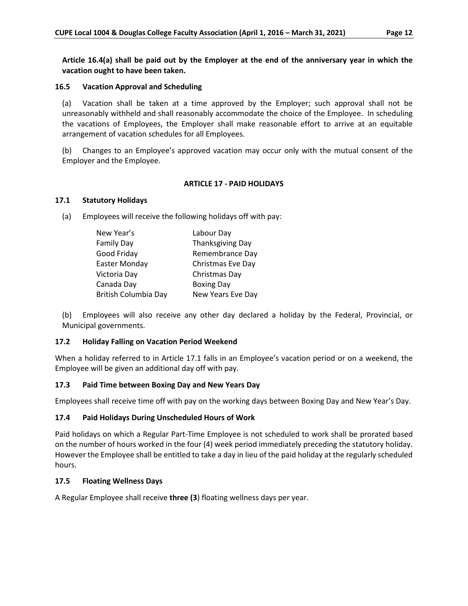**Article 16.4(a) shall be paid out by the Employer at the end of the anniversary year in which the vacation ought to have been taken.** 

#### **16.5 Vacation Approval and Scheduling**

(a) Vacation shall be taken at a time approved by the Employer; such approval shall not be unreasonably withheld and shall reasonably accommodate the choice of the Employee. In scheduling the vacations of Employees, the Employer shall make reasonable effort to arrive at an equitable arrangement of vacation schedules for all Employees.

(b) Changes to an Employee's approved vacation may occur only with the mutual consent of the Employer and the Employee.

#### **ARTICLE 17 - PAID HOLIDAYS**

#### **17.1 Statutory Holidays**

(a) Employees will receive the following holidays off with pay:

| New Year's           | Labour Day              |
|----------------------|-------------------------|
| <b>Family Day</b>    | <b>Thanksgiving Day</b> |
| Good Friday          | Remembrance Day         |
| Easter Monday        | Christmas Eve Day       |
| Victoria Day         | Christmas Day           |
| Canada Day           | <b>Boxing Day</b>       |
| British Columbia Day | New Years Eve Day       |

(b) Employees will also receive any other day declared a holiday by the Federal, Provincial, or Municipal governments.

## **17.2 Holiday Falling on Vacation Period Weekend**

When a holiday referred to in Article 17.1 falls in an Employee's vacation period or on a weekend, the Employee will be given an additional day off with pay.

## **17.3 Paid Time between Boxing Day and New Years Day**

Employees shall receive time off with pay on the working days between Boxing Day and New Year's Day.

## **17.4 Paid Holidays During Unscheduled Hours of Work**

Paid holidays on which a Regular Part-Time Employee is not scheduled to work shall be prorated based on the number of hours worked in the four (4) week period immediately preceding the statutory holiday. However the Employee shall be entitled to take a day in lieu of the paid holiday at the regularly scheduled hours.

## **17.5 Floating Wellness Days**

A Regular Employee shall receive **three (3**) floating wellness days per year.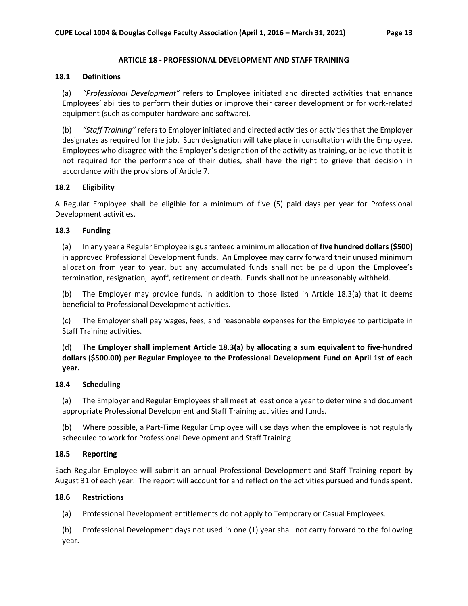#### **ARTICLE 18 - PROFESSIONAL DEVELOPMENT AND STAFF TRAINING**

#### **18.1 Definitions**

(a) *"Professional Development"* refers to Employee initiated and directed activities that enhance Employees' abilities to perform their duties or improve their career development or for work-related equipment (such as computer hardware and software).

(b) *"Staff Training"* refers to Employer initiated and directed activities or activities that the Employer designates as required for the job. Such designation will take place in consultation with the Employee. Employees who disagree with the Employer's designation of the activity as training, or believe that it is not required for the performance of their duties, shall have the right to grieve that decision in accordance with the provisions of Article 7.

## **18.2 Eligibility**

A Regular Employee shall be eligible for a minimum of five (5) paid days per year for Professional Development activities.

#### **18.3 Funding**

(a) In any year a Regular Employee is guaranteed a minimum allocation of **five hundred dollars (\$500)** in approved Professional Development funds. An Employee may carry forward their unused minimum allocation from year to year, but any accumulated funds shall not be paid upon the Employee's termination, resignation, layoff, retirement or death. Funds shall not be unreasonably withheld.

(b) The Employer may provide funds, in addition to those listed in Article 18.3(a) that it deems beneficial to Professional Development activities.

(c) The Employer shall pay wages, fees, and reasonable expenses for the Employee to participate in Staff Training activities.

(d) **The Employer shall implement Article 18.3(a) by allocating a sum equivalent to five-hundred dollars (\$500.00) per Regular Employee to the Professional Development Fund on April 1st of each year.**

#### **18.4 Scheduling**

(a) The Employer and Regular Employees shall meet at least once a year to determine and document appropriate Professional Development and Staff Training activities and funds.

(b) Where possible, a Part-Time Regular Employee will use days when the employee is not regularly scheduled to work for Professional Development and Staff Training.

## **18.5 Reporting**

Each Regular Employee will submit an annual Professional Development and Staff Training report by August 31 of each year. The report will account for and reflect on the activities pursued and funds spent.

#### **18.6 Restrictions**

(a) Professional Development entitlements do not apply to Temporary or Casual Employees.

(b) Professional Development days not used in one (1) year shall not carry forward to the following year.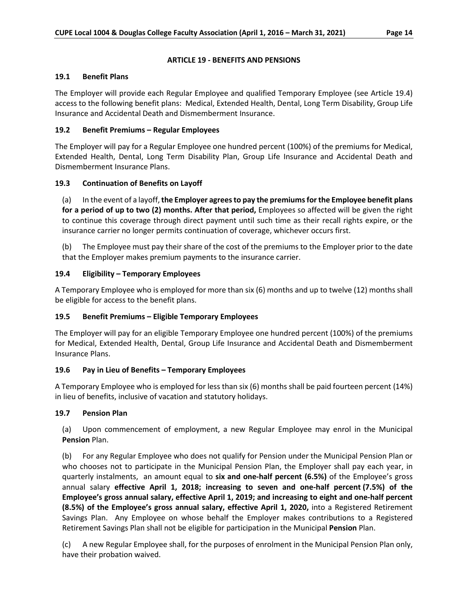## **ARTICLE 19 - BENEFITS AND PENSIONS**

## **19.1 Benefit Plans**

The Employer will provide each Regular Employee and qualified Temporary Employee (see Article 19.4) access to the following benefit plans: Medical, Extended Health, Dental, Long Term Disability, Group Life Insurance and Accidental Death and Dismemberment Insurance.

# **19.2 Benefit Premiums – Regular Employees**

The Employer will pay for a Regular Employee one hundred percent (100%) of the premiums for Medical, Extended Health, Dental, Long Term Disability Plan, Group Life Insurance and Accidental Death and Dismemberment Insurance Plans.

# **19.3 Continuation of Benefits on Layoff**

(a) In the event of a layoff, **the Employer agrees to pay the premiums for the Employee benefit plans for a period of up to two (2) months. After that period,** Employees so affected will be given the right to continue this coverage through direct payment until such time as their recall rights expire, or the insurance carrier no longer permits continuation of coverage, whichever occurs first.

(b) The Employee must pay their share of the cost of the premiums to the Employer prior to the date that the Employer makes premium payments to the insurance carrier.

# **19.4 Eligibility – Temporary Employees**

A Temporary Employee who is employed for more than six (6) months and up to twelve (12) months shall be eligible for access to the benefit plans.

# **19.5 Benefit Premiums – Eligible Temporary Employees**

The Employer will pay for an eligible Temporary Employee one hundred percent (100%) of the premiums for Medical, Extended Health, Dental, Group Life Insurance and Accidental Death and Dismemberment Insurance Plans.

# **19.6 Pay in Lieu of Benefits – Temporary Employees**

A Temporary Employee who is employed for less than six (6) months shall be paid fourteen percent (14%) in lieu of benefits, inclusive of vacation and statutory holidays.

## **19.7 Pension Plan**

(a) Upon commencement of employment, a new Regular Employee may enrol in the Municipal **Pension** Plan.

(b) For any Regular Employee who does not qualify for Pension under the Municipal Pension Plan or who chooses not to participate in the Municipal Pension Plan, the Employer shall pay each year, in quarterly instalments, an amount equal to **six and one-half percent (6.5%)** of the Employee's gross annual salary **effective April 1, 2018; increasing to seven and one-half percent (7.5%) of the Employee's gross annual salary, effective April 1, 2019; and increasing to eight and one-half percent (8.5%) of the Employee's gross annual salary, effective April 1, 2020,** into a Registered Retirement Savings Plan. Any Employee on whose behalf the Employer makes contributions to a Registered Retirement Savings Plan shall not be eligible for participation in the Municipal **Pension** Plan.

A new Regular Employee shall, for the purposes of enrolment in the Municipal Pension Plan only, have their probation waived.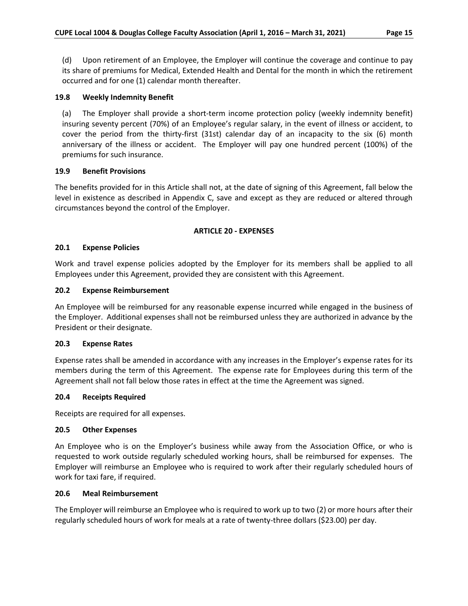(d) Upon retirement of an Employee, the Employer will continue the coverage and continue to pay its share of premiums for Medical, Extended Health and Dental for the month in which the retirement occurred and for one (1) calendar month thereafter.

#### **19.8 Weekly Indemnity Benefit**

(a) The Employer shall provide a short-term income protection policy (weekly indemnity benefit) insuring seventy percent (70%) of an Employee's regular salary, in the event of illness or accident, to cover the period from the thirty-first (31st) calendar day of an incapacity to the six (6) month anniversary of the illness or accident. The Employer will pay one hundred percent (100%) of the premiums for such insurance.

#### **19.9 Benefit Provisions**

The benefits provided for in this Article shall not, at the date of signing of this Agreement, fall below the level in existence as described in Appendix C, save and except as they are reduced or altered through circumstances beyond the control of the Employer.

#### **ARTICLE 20 - EXPENSES**

#### **20.1 Expense Policies**

Work and travel expense policies adopted by the Employer for its members shall be applied to all Employees under this Agreement, provided they are consistent with this Agreement.

#### **20.2 Expense Reimbursement**

An Employee will be reimbursed for any reasonable expense incurred while engaged in the business of the Employer. Additional expenses shall not be reimbursed unless they are authorized in advance by the President or their designate.

#### **20.3 Expense Rates**

Expense rates shall be amended in accordance with any increases in the Employer's expense rates for its members during the term of this Agreement. The expense rate for Employees during this term of the Agreement shall not fall below those rates in effect at the time the Agreement was signed.

#### **20.4 Receipts Required**

Receipts are required for all expenses.

#### **20.5 Other Expenses**

An Employee who is on the Employer's business while away from the Association Office, or who is requested to work outside regularly scheduled working hours, shall be reimbursed for expenses. The Employer will reimburse an Employee who is required to work after their regularly scheduled hours of work for taxi fare, if required.

#### **20.6 Meal Reimbursement**

The Employer will reimburse an Employee who is required to work up to two (2) or more hours after their regularly scheduled hours of work for meals at a rate of twenty-three dollars (\$23.00) per day.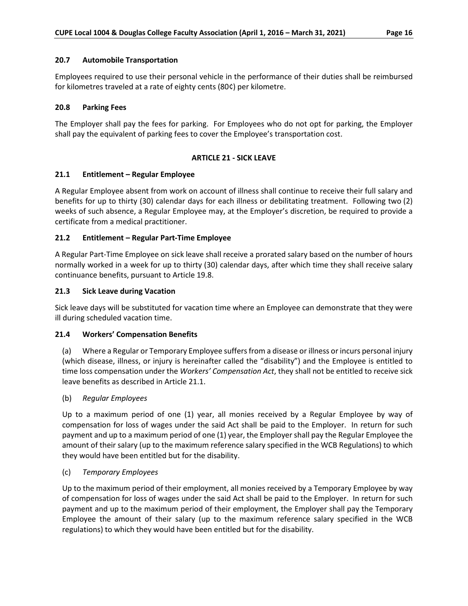Employees required to use their personal vehicle in the performance of their duties shall be reimbursed for kilometres traveled at a rate of eighty cents (80¢) per kilometre.

## **20.8 Parking Fees**

The Employer shall pay the fees for parking. For Employees who do not opt for parking, the Employer shall pay the equivalent of parking fees to cover the Employee's transportation cost.

## **ARTICLE 21 - SICK LEAVE**

## **21.1 Entitlement – Regular Employee**

A Regular Employee absent from work on account of illness shall continue to receive their full salary and benefits for up to thirty (30) calendar days for each illness or debilitating treatment. Following two (2) weeks of such absence, a Regular Employee may, at the Employer's discretion, be required to provide a certificate from a medical practitioner.

## **21.2 Entitlement – Regular Part-Time Employee**

A Regular Part-Time Employee on sick leave shall receive a prorated salary based on the number of hours normally worked in a week for up to thirty (30) calendar days, after which time they shall receive salary continuance benefits, pursuant to Article 19.8.

## **21.3 Sick Leave during Vacation**

Sick leave days will be substituted for vacation time where an Employee can demonstrate that they were ill during scheduled vacation time.

## **21.4 Workers' Compensation Benefits**

(a) Where a Regular or Temporary Employee suffers from a disease or illness or incurs personal injury (which disease, illness, or injury is hereinafter called the "disability") and the Employee is entitled to time loss compensation under the *Workers' Compensation Act*, they shall not be entitled to receive sick leave benefits as described in Article 21.1.

(b) *Regular Employees*

Up to a maximum period of one (1) year, all monies received by a Regular Employee by way of compensation for loss of wages under the said Act shall be paid to the Employer. In return for such payment and up to a maximum period of one (1) year, the Employer shall pay the Regular Employee the amount of their salary (up to the maximum reference salary specified in the WCB Regulations) to which they would have been entitled but for the disability.

## (c) *Temporary Employees*

Up to the maximum period of their employment, all monies received by a Temporary Employee by way of compensation for loss of wages under the said Act shall be paid to the Employer. In return for such payment and up to the maximum period of their employment, the Employer shall pay the Temporary Employee the amount of their salary (up to the maximum reference salary specified in the WCB regulations) to which they would have been entitled but for the disability.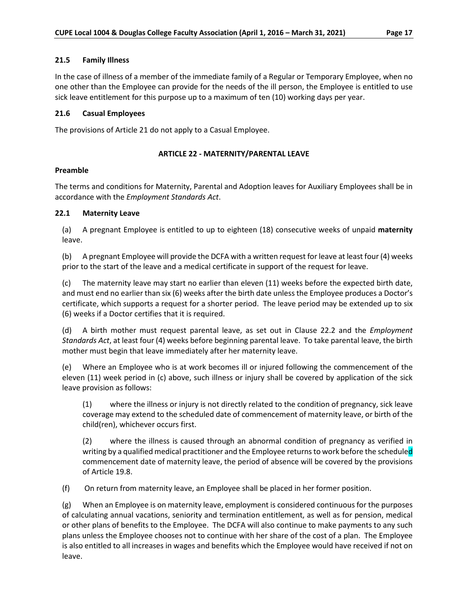## **21.5 Family Illness**

In the case of illness of a member of the immediate family of a Regular or Temporary Employee, when no one other than the Employee can provide for the needs of the ill person, the Employee is entitled to use sick leave entitlement for this purpose up to a maximum of ten (10) working days per year.

## **21.6 Casual Employees**

The provisions of Article 21 do not apply to a Casual Employee.

## **ARTICLE 22 - MATERNITY/PARENTAL LEAVE**

## **Preamble**

The terms and conditions for Maternity, Parental and Adoption leaves for Auxiliary Employees shall be in accordance with the *Employment Standards Act*.

## **22.1 Maternity Leave**

(a) A pregnant Employee is entitled to up to eighteen (18) consecutive weeks of unpaid **maternity** leave.

(b) A pregnant Employee will provide the DCFA with a written request for leave at least four (4) weeks prior to the start of the leave and a medical certificate in support of the request for leave.

(c) The maternity leave may start no earlier than eleven (11) weeks before the expected birth date, and must end no earlier than six (6) weeks after the birth date unless the Employee produces a Doctor's certificate, which supports a request for a shorter period. The leave period may be extended up to six (6) weeks if a Doctor certifies that it is required.

(d) A birth mother must request parental leave, as set out in Clause 22.2 and the *Employment Standards Act*, at least four (4) weeks before beginning parental leave. To take parental leave, the birth mother must begin that leave immediately after her maternity leave.

(e) Where an Employee who is at work becomes ill or injured following the commencement of the eleven (11) week period in (c) above, such illness or injury shall be covered by application of the sick leave provision as follows:

(1) where the illness or injury is not directly related to the condition of pregnancy, sick leave coverage may extend to the scheduled date of commencement of maternity leave, or birth of the child(ren), whichever occurs first.

(2) where the illness is caused through an abnormal condition of pregnancy as verified in writing by a qualified medical practitioner and the Employee returns to work before the scheduled commencement date of maternity leave, the period of absence will be covered by the provisions of Article 19.8.

(f) On return from maternity leave, an Employee shall be placed in her former position.

(g) When an Employee is on maternity leave, employment is considered continuous for the purposes of calculating annual vacations, seniority and termination entitlement, as well as for pension, medical or other plans of benefits to the Employee. The DCFA will also continue to make payments to any such plans unless the Employee chooses not to continue with her share of the cost of a plan. The Employee is also entitled to all increases in wages and benefits which the Employee would have received if not on leave.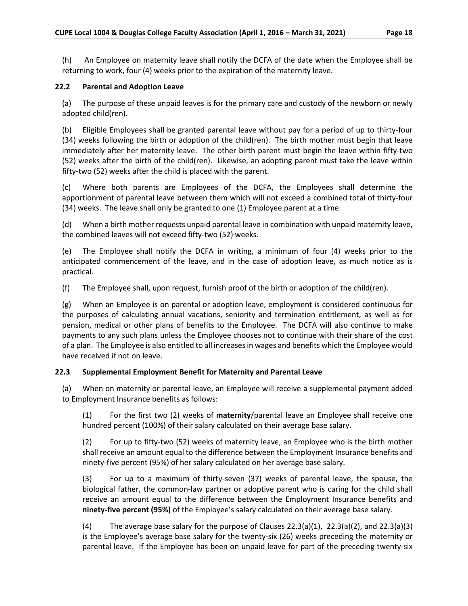(h) An Employee on maternity leave shall notify the DCFA of the date when the Employee shall be returning to work, four (4) weeks prior to the expiration of the maternity leave.

## **22.2 Parental and Adoption Leave**

(a) The purpose of these unpaid leaves is for the primary care and custody of the newborn or newly adopted child(ren).

(b) Eligible Employees shall be granted parental leave without pay for a period of up to thirty-four (34) weeks following the birth or adoption of the child(ren). The birth mother must begin that leave immediately after her maternity leave. The other birth parent must begin the leave within fifty-two (52) weeks after the birth of the child(ren). Likewise, an adopting parent must take the leave within fifty-two (52) weeks after the child is placed with the parent.

(c) Where both parents are Employees of the DCFA, the Employees shall determine the apportionment of parental leave between them which will not exceed a combined total of thirty-four (34) weeks. The leave shall only be granted to one (1) Employee parent at a time.

(d) When a birth mother requests unpaid parental leave in combination with unpaid maternity leave, the combined leaves will not exceed fifty-two (52) weeks.

(e) The Employee shall notify the DCFA in writing, a minimum of four (4) weeks prior to the anticipated commencement of the leave, and in the case of adoption leave, as much notice as is practical.

(f) The Employee shall, upon request, furnish proof of the birth or adoption of the child(ren).

(g) When an Employee is on parental or adoption leave, employment is considered continuous for the purposes of calculating annual vacations, seniority and termination entitlement, as well as for pension, medical or other plans of benefits to the Employee. The DCFA will also continue to make payments to any such plans unless the Employee chooses not to continue with their share of the cost of a plan. The Employee is also entitled to all increases in wages and benefits which the Employee would have received if not on leave.

# **22.3 Supplemental Employment Benefit for Maternity and Parental Leave**

(a) When on maternity or parental leave, an Employee will receive a supplemental payment added to Employment Insurance benefits as follows:

(1) For the first two (2) weeks of **maternity**/parental leave an Employee shall receive one hundred percent (100%) of their salary calculated on their average base salary.

(2) For up to fifty-two (52) weeks of maternity leave, an Employee who is the birth mother shall receive an amount equal to the difference between the Employment Insurance benefits and ninety-five percent (95%) of her salary calculated on her average base salary.

(3) For up to a maximum of thirty-seven (37) weeks of parental leave, the spouse, the biological father, the common-law partner or adoptive parent who is caring for the child shall receive an amount equal to the difference between the Employment Insurance benefits and **ninety-five percent (95%)** of the Employee's salary calculated on their average base salary.

(4) The average base salary for the purpose of Clauses 22.3(a)(1), 22.3(a)(2), and 22.3(a)(3) is the Employee's average base salary for the twenty-six (26) weeks preceding the maternity or parental leave. If the Employee has been on unpaid leave for part of the preceding twenty-six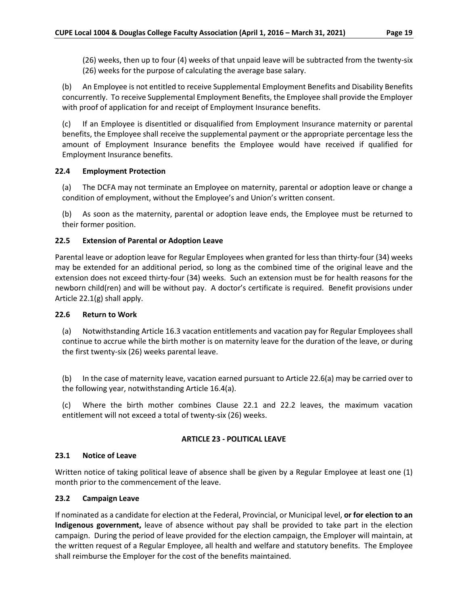(26) weeks, then up to four (4) weeks of that unpaid leave will be subtracted from the twenty-six (26) weeks for the purpose of calculating the average base salary.

(b) An Employee is not entitled to receive Supplemental Employment Benefits and Disability Benefits concurrently. To receive Supplemental Employment Benefits, the Employee shall provide the Employer with proof of application for and receipt of Employment Insurance benefits.

(c) If an Employee is disentitled or disqualified from Employment Insurance maternity or parental benefits, the Employee shall receive the supplemental payment or the appropriate percentage less the amount of Employment Insurance benefits the Employee would have received if qualified for Employment Insurance benefits.

## **22.4 Employment Protection**

(a) The DCFA may not terminate an Employee on maternity, parental or adoption leave or change a condition of employment, without the Employee's and Union's written consent.

(b) As soon as the maternity, parental or adoption leave ends, the Employee must be returned to their former position.

## **22.5 Extension of Parental or Adoption Leave**

Parental leave or adoption leave for Regular Employees when granted for less than thirty-four (34) weeks may be extended for an additional period, so long as the combined time of the original leave and the extension does not exceed thirty-four (34) weeks. Such an extension must be for health reasons for the newborn child(ren) and will be without pay. A doctor's certificate is required. Benefit provisions under Article 22.1(g) shall apply.

## **22.6 Return to Work**

(a) Notwithstanding Article 16.3 vacation entitlements and vacation pay for Regular Employees shall continue to accrue while the birth mother is on maternity leave for the duration of the leave, or during the first twenty-six (26) weeks parental leave.

(b) In the case of maternity leave, vacation earned pursuant to Article 22.6(a) may be carried over to the following year, notwithstanding Article 16.4(a).

(c) Where the birth mother combines Clause 22.1 and 22.2 leaves, the maximum vacation entitlement will not exceed a total of twenty-six (26) weeks.

# **ARTICLE 23 - POLITICAL LEAVE**

## **23.1 Notice of Leave**

Written notice of taking political leave of absence shall be given by a Regular Employee at least one (1) month prior to the commencement of the leave.

## **23.2 Campaign Leave**

If nominated as a candidate for election at the Federal, Provincial, or Municipal level, **or for election to an Indigenous government,** leave of absence without pay shall be provided to take part in the election campaign. During the period of leave provided for the election campaign, the Employer will maintain, at the written request of a Regular Employee, all health and welfare and statutory benefits. The Employee shall reimburse the Employer for the cost of the benefits maintained.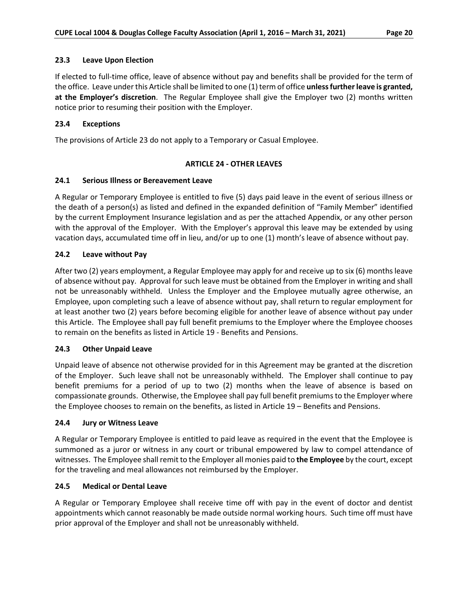## **23.3 Leave Upon Election**

If elected to full-time office, leave of absence without pay and benefits shall be provided for the term of the office. Leave under this Article shall be limited to one (1) term of office **unless further leave is granted, at the Employer's discretion**. The Regular Employee shall give the Employer two (2) months written notice prior to resuming their position with the Employer.

# **23.4 Exceptions**

The provisions of Article 23 do not apply to a Temporary or Casual Employee.

## **ARTICLE 24 - OTHER LEAVES**

## **24.1 Serious Illness or Bereavement Leave**

A Regular or Temporary Employee is entitled to five (5) days paid leave in the event of serious illness or the death of a person(s) as listed and defined in the expanded definition of "Family Member" identified by the current Employment Insurance legislation and as per the attached Appendix, or any other person with the approval of the Employer. With the Employer's approval this leave may be extended by using vacation days, accumulated time off in lieu, and/or up to one (1) month's leave of absence without pay.

## **24.2 Leave without Pay**

After two (2) years employment, a Regular Employee may apply for and receive up to six (6) months leave of absence without pay. Approval for such leave must be obtained from the Employer in writing and shall not be unreasonably withheld. Unless the Employer and the Employee mutually agree otherwise, an Employee, upon completing such a leave of absence without pay, shall return to regular employment for at least another two (2) years before becoming eligible for another leave of absence without pay under this Article. The Employee shall pay full benefit premiums to the Employer where the Employee chooses to remain on the benefits as listed in Article 19 - Benefits and Pensions.

# **24.3 Other Unpaid Leave**

Unpaid leave of absence not otherwise provided for in this Agreement may be granted at the discretion of the Employer. Such leave shall not be unreasonably withheld. The Employer shall continue to pay benefit premiums for a period of up to two (2) months when the leave of absence is based on compassionate grounds. Otherwise, the Employee shall pay full benefit premiums to the Employer where the Employee chooses to remain on the benefits, as listed in Article 19 – Benefits and Pensions.

## **24.4 Jury or Witness Leave**

A Regular or Temporary Employee is entitled to paid leave as required in the event that the Employee is summoned as a juror or witness in any court or tribunal empowered by law to compel attendance of witnesses. The Employee shall remit to the Employer all monies paid to **the Employee** by the court, except for the traveling and meal allowances not reimbursed by the Employer.

## **24.5 Medical or Dental Leave**

A Regular or Temporary Employee shall receive time off with pay in the event of doctor and dentist appointments which cannot reasonably be made outside normal working hours. Such time off must have prior approval of the Employer and shall not be unreasonably withheld.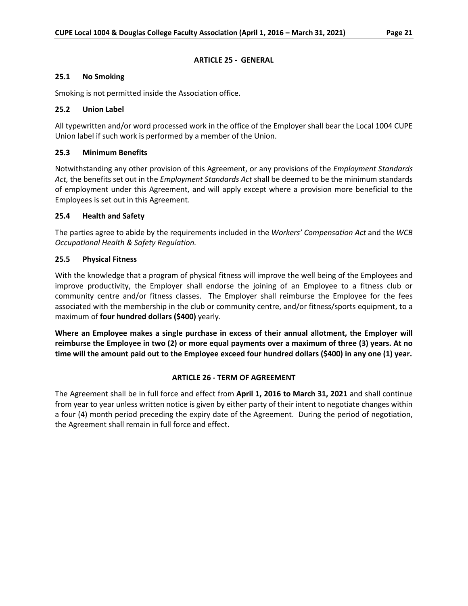## **ARTICLE 25 - GENERAL**

## **25.1 No Smoking**

Smoking is not permitted inside the Association office.

## **25.2 Union Label**

All typewritten and/or word processed work in the office of the Employer shall bear the Local 1004 CUPE Union label if such work is performed by a member of the Union.

# **25.3 Minimum Benefits**

Notwithstanding any other provision of this Agreement, or any provisions of the *Employment Standards Act,* the benefits set out in the *Employment Standards Act* shall be deemed to be the minimum standards of employment under this Agreement, and will apply except where a provision more beneficial to the Employees is set out in this Agreement.

## **25.4 Health and Safety**

The parties agree to abide by the requirements included in the *Workers' Compensation Act* and the *WCB Occupational Health & Safety Regulation.*

## **25.5 Physical Fitness**

With the knowledge that a program of physical fitness will improve the well being of the Employees and improve productivity, the Employer shall endorse the joining of an Employee to a fitness club or community centre and/or fitness classes. The Employer shall reimburse the Employee for the fees associated with the membership in the club or community centre, and/or fitness/sports equipment, to a maximum of **four hundred dollars (\$400)** yearly.

**Where an Employee makes a single purchase in excess of their annual allotment, the Employer will reimburse the Employee in two (2) or more equal payments over a maximum of three (3) years. At no time will the amount paid out to the Employee exceed four hundred dollars (\$400) in any one (1) year.**

## **ARTICLE 26 - TERM OF AGREEMENT**

The Agreement shall be in full force and effect from **April 1, 2016 to March 31, 2021** and shall continue from year to year unless written notice is given by either party of their intent to negotiate changes within a four (4) month period preceding the expiry date of the Agreement. During the period of negotiation, the Agreement shall remain in full force and effect.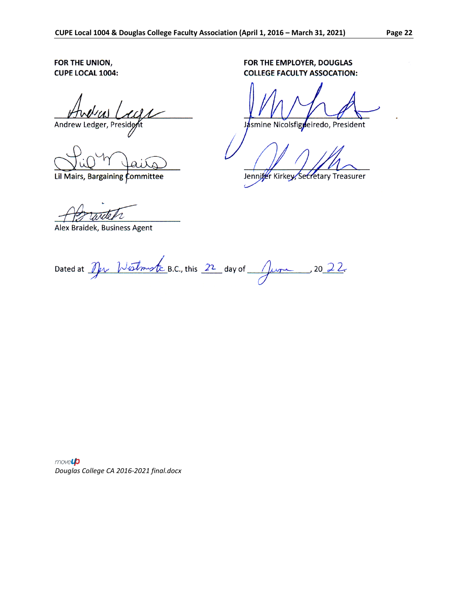FOR THE UNION, **CUPE LOCAL 1004:** 

Andrew Ledger, President

Lil Mairs, Bargaining Committee

FOR THE EMPLOYER, DOUGLAS **COLLEGE FACULTY ASSOCATION:** 

Jasmine Nicolsfigneiredo, President

Jennifer Kirkey, Secretary Treasurer

Alex Braidek, Business Agent

Dated at  $\mathcal{D}_{\mu\nu}$  *Westmartz* B.C., this  $22$  day of  $\mathcal{D}_{\mu\nu}$ , 2022.

movelp *Douglas College CA 2016-2021 final.docx*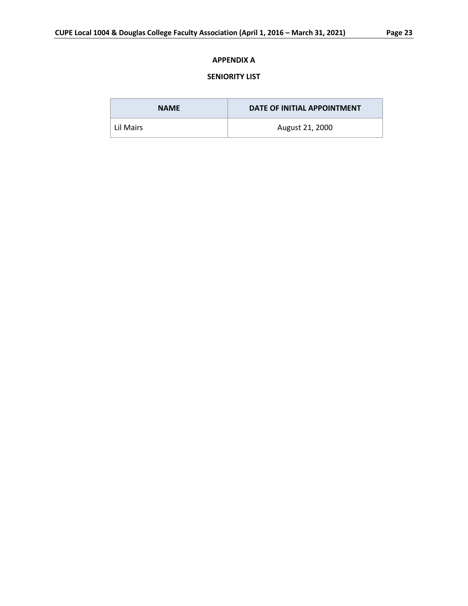# **APPENDIX A**

# **SENIORITY LIST**

| <b>NAME</b> | DATE OF INITIAL APPOINTMENT |
|-------------|-----------------------------|
| Lil Mairs   | August 21, 2000             |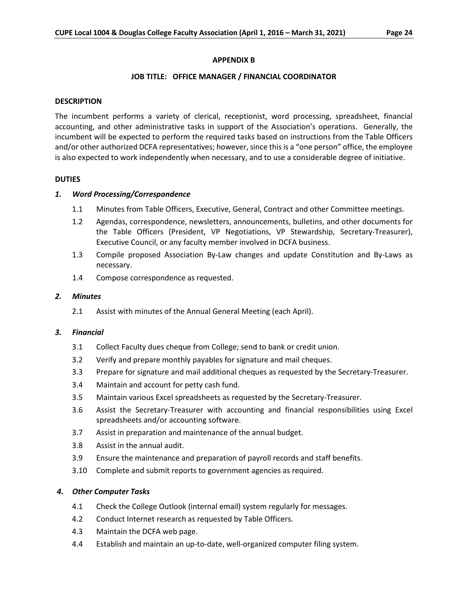#### **APPENDIX B**

#### **JOB TITLE: OFFICE MANAGER / FINANCIAL COORDINATOR**

#### **DESCRIPTION**

The incumbent performs a variety of clerical, receptionist, word processing, spreadsheet, financial accounting, and other administrative tasks in support of the Association's operations. Generally, the incumbent will be expected to perform the required tasks based on instructions from the Table Officers and/or other authorized DCFA representatives; however, since this is a "one person" office, the employee is also expected to work independently when necessary, and to use a considerable degree of initiative.

#### **DUTIES**

#### *1. Word Processing/Correspondence*

- 1.1 Minutes from Table Officers, Executive, General, Contract and other Committee meetings.
- 1.2 Agendas, correspondence, newsletters, announcements, bulletins, and other documents for the Table Officers (President, VP Negotiations, VP Stewardship, Secretary-Treasurer), Executive Council, or any faculty member involved in DCFA business.
- 1.3 Compile proposed Association By-Law changes and update Constitution and By-Laws as necessary.
- 1.4 Compose correspondence as requested.

#### *2. Minutes*

2.1 Assist with minutes of the Annual General Meeting (each April).

#### *3. Financial*

- 3.1 Collect Faculty dues cheque from College; send to bank or credit union.
- 3.2 Verify and prepare monthly payables for signature and mail cheques.
- 3.3 Prepare for signature and mail additional cheques as requested by the Secretary-Treasurer.
- 3.4 Maintain and account for petty cash fund.
- 3.5 Maintain various Excel spreadsheets as requested by the Secretary-Treasurer.
- 3.6 Assist the Secretary-Treasurer with accounting and financial responsibilities using Excel spreadsheets and/or accounting software.
- 3.7 Assist in preparation and maintenance of the annual budget.
- 3.8 Assist in the annual audit.
- 3.9 Ensure the maintenance and preparation of payroll records and staff benefits.
- 3.10 Complete and submit reports to government agencies as required.

#### *4. Other Computer Tasks*

- 4.1 Check the College Outlook (internal email) system regularly for messages.
- 4.2 Conduct Internet research as requested by Table Officers.
- 4.3 Maintain the DCFA web page.
- 4.4 Establish and maintain an up-to-date, well-organized computer filing system.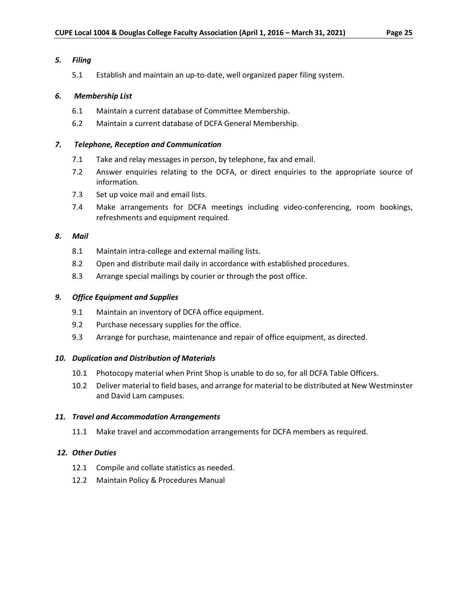## *5. Filing*

5.1 Establish and maintain an up-to-date, well organized paper filing system.

## *6. Membership List*

- 6.1 Maintain a current database of Committee Membership.
- 6.2 Maintain a current database of DCFA General Membership.

## *7. Telephone, Reception and Communication*

- 7.1 Take and relay messages in person, by telephone, fax and email.
- 7.2 Answer enquiries relating to the DCFA, or direct enquiries to the appropriate source of information.
- 7.3 Set up voice mail and email lists.
- 7.4 Make arrangements for DCFA meetings including video-conferencing, room bookings, refreshments and equipment required.

## *8. Mail*

- 8.1 Maintain intra-college and external mailing lists.
- 8.2 Open and distribute mail daily in accordance with established procedures.
- 8.3 Arrange special mailings by courier or through the post office.

## *9. Office Equipment and Supplies*

- 9.1 Maintain an inventory of DCFA office equipment.
- 9.2 Purchase necessary supplies for the office.
- 9.3 Arrange for purchase, maintenance and repair of office equipment, as directed.

# *10. Duplication and Distribution of Materials*

- 10.1 Photocopy material when Print Shop is unable to do so, for all DCFA Table Officers.
- 10.2 Deliver material to field bases, and arrange for material to be distributed at New Westminster and David Lam campuses.

## *11. Travel and Accommodation Arrangements*

11.1 Make travel and accommodation arrangements for DCFA members as required.

# *12. Other Duties*

- 12.1 Compile and collate statistics as needed.
- 12.2 Maintain Policy & Procedures Manual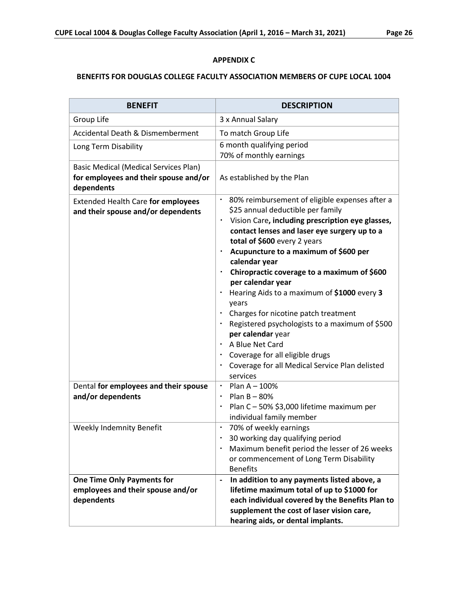# **APPENDIX C**

# **BENEFITS FOR DOUGLAS COLLEGE FACULTY ASSOCIATION MEMBERS OF CUPE LOCAL 1004**

| <b>BENEFIT</b>                                                                                      | <b>DESCRIPTION</b>                                                                                                                                                                                                                                                                                                                                                                                                                                                                                                                                                                                                                                                                  |
|-----------------------------------------------------------------------------------------------------|-------------------------------------------------------------------------------------------------------------------------------------------------------------------------------------------------------------------------------------------------------------------------------------------------------------------------------------------------------------------------------------------------------------------------------------------------------------------------------------------------------------------------------------------------------------------------------------------------------------------------------------------------------------------------------------|
| Group Life                                                                                          | 3 x Annual Salary                                                                                                                                                                                                                                                                                                                                                                                                                                                                                                                                                                                                                                                                   |
| <b>Accidental Death &amp; Dismemberment</b>                                                         | To match Group Life                                                                                                                                                                                                                                                                                                                                                                                                                                                                                                                                                                                                                                                                 |
| Long Term Disability                                                                                | 6 month qualifying period<br>70% of monthly earnings                                                                                                                                                                                                                                                                                                                                                                                                                                                                                                                                                                                                                                |
| <b>Basic Medical (Medical Services Plan)</b><br>for employees and their spouse and/or<br>dependents | As established by the Plan                                                                                                                                                                                                                                                                                                                                                                                                                                                                                                                                                                                                                                                          |
| <b>Extended Health Care for employees</b><br>and their spouse and/or dependents                     | • 80% reimbursement of eligible expenses after a<br>\$25 annual deductible per family<br>Vision Care, including prescription eye glasses,<br>٠<br>contact lenses and laser eye surgery up to a<br>total of \$600 every 2 years<br>Acupuncture to a maximum of \$600 per<br>٠<br>calendar year<br>Chiropractic coverage to a maximum of \$600<br>per calendar year<br>Hearing Aids to a maximum of \$1000 every 3<br>years<br>Charges for nicotine patch treatment<br>Registered psychologists to a maximum of \$500<br>per calendar year<br>A Blue Net Card<br>$\blacksquare$<br>Coverage for all eligible drugs<br>Coverage for all Medical Service Plan delisted<br>٠<br>services |
| Dental for employees and their spouse<br>and/or dependents                                          | $\cdot$ Plan A - 100%<br>Plan B - 80%<br>٠<br>Plan C - 50% \$3,000 lifetime maximum per<br>٠<br>individual family member                                                                                                                                                                                                                                                                                                                                                                                                                                                                                                                                                            |
| Weekly Indemnity Benefit                                                                            | 70% of weekly earnings<br>٠<br>30 working day qualifying period<br>٠<br>Maximum benefit period the lesser of 26 weeks<br>or commencement of Long Term Disability<br><b>Benefits</b>                                                                                                                                                                                                                                                                                                                                                                                                                                                                                                 |
| <b>One Time Only Payments for</b><br>employees and their spouse and/or<br>dependents                | In addition to any payments listed above, a<br>$\qquad \qquad \blacksquare$<br>lifetime maximum total of up to \$1000 for<br>each individual covered by the Benefits Plan to<br>supplement the cost of laser vision care,<br>hearing aids, or dental implants.                                                                                                                                                                                                                                                                                                                                                                                                                      |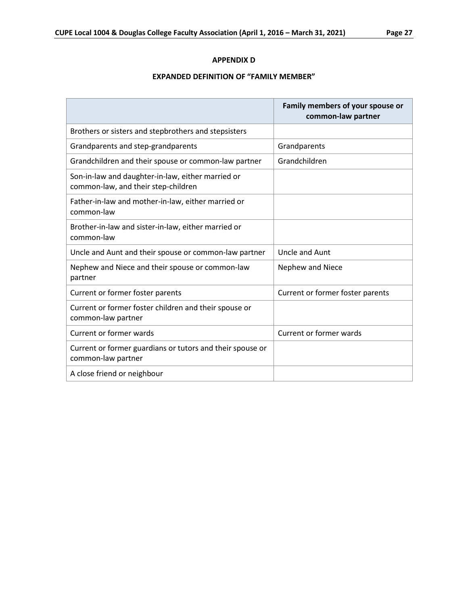## **APPENDIX D**

# **EXPANDED DEFINITION OF "FAMILY MEMBER"**

|                                                                                          | Family members of your spouse or<br>common-law partner |
|------------------------------------------------------------------------------------------|--------------------------------------------------------|
| Brothers or sisters and stepbrothers and stepsisters                                     |                                                        |
| Grandparents and step-grandparents                                                       | Grandparents                                           |
| Grandchildren and their spouse or common-law partner                                     | Grandchildren                                          |
| Son-in-law and daughter-in-law, either married or<br>common-law, and their step-children |                                                        |
| Father-in-law and mother-in-law, either married or<br>common-law                         |                                                        |
| Brother-in-law and sister-in-law, either married or<br>common-law                        |                                                        |
| Uncle and Aunt and their spouse or common-law partner                                    | <b>Uncle and Aunt</b>                                  |
| Nephew and Niece and their spouse or common-law<br>partner                               | Nephew and Niece                                       |
| Current or former foster parents                                                         | Current or former foster parents                       |
| Current or former foster children and their spouse or<br>common-law partner              |                                                        |
| Current or former wards                                                                  | <b>Current or former wards</b>                         |
| Current or former guardians or tutors and their spouse or<br>common-law partner          |                                                        |
| A close friend or neighbour                                                              |                                                        |